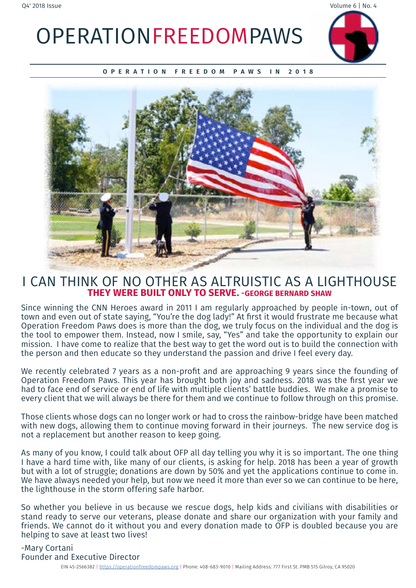OPERATIONFREEDOMPAWS



**OPERATION FREEDOM PAWS IN 2018**



### I CAN THINK OF NO OTHER AS ALTRUISTIC AS A LIGHTHOUSE **THEY WERE BUILT ONLY TO SERVE. -GEORGE BERNARD SHAW**

Since winning the CNN Heroes award in 2011 I am regularly approached by people in-town, out of town and even out of state saying, "You're the dog lady!" At first it would frustrate me because what Operation Freedom Paws does is more than the dog, we truly focus on the individual and the dog is the tool to empower them. Instead, now I smile, say, "Yes" and take the opportunity to explain our mission. I have come to realize that the best way to get the word out is to build the connection with the person and then educate so they understand the passion and drive I feel every day.

We recently celebrated 7 years as a non-profit and are approaching 9 years since the founding of Operation Freedom Paws. This year has brought both joy and sadness. 2018 was the first year we had to face end of service or end of life with multiple clients' battle buddies. We make a promise to every client that we will always be there for them and we continue to follow through on this promise.

Those clients whose dogs can no longer work or had to cross the rainbow-bridge have been matched with new dogs, allowing them to continue moving forward in their journeys. The new service dog is not a replacement but another reason to keep going.

As many of you know, I could talk about OFP all day telling you why it is so important. The one thing I have a hard time with, like many of our clients, is asking for help. 2018 has been a year of growth but with a lot of struggle; donations are down by 50% and yet the applications continue to come in. We have always needed your help, but now we need it more than ever so we can continue to be here, the lighthouse in the storm offering safe harbor.

So whether you believe in us because we rescue dogs, help kids and civilians with disabilities or stand ready to serve our veterans, please donate and share our organization with your family and friends. We cannot do it without you and every donation made to OFP is doubled because vou are helping to save at least two lives!

-Mary Cortani Founder and Executive Director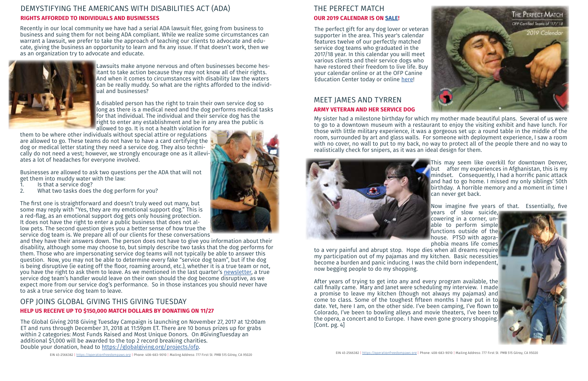Recently in our local community we have had a serial ADA lawsuit filer, going from business to business and suing them for not being ADA compliant. While we realize some circumstances can warrant a lawsuit, we prefer to take the approach of teaching our clients to advocate and educate, giving the business an opportunity to learn and fix any issue. If that doesn't work, then we as an organization try to advocate and educate.



Lawsuits make anyone nervous and often businesses become hesitant to take action because they may not know all of their rights. And when it comes to circumstances with disability law the waters can be really muddy. So what are the rights afforded to the individual and businesses?

A disabled person has the right to train their own service dog so long as there is a medical need and the dog performs medical tasks for that individual. The individual and their service dog has the right to enter any establishment and be in any area the public is allowed to go. It is not a health violation for

them to be where other individuals without special attire or regulations are allowed to go. These teams do not have to have a card certifying the dog or medical letter stating they need a service dog. They also technically do not need a vest; however, we strongly encourage one as it alleviates a lot of headaches for everyone involved.

Businesses are allowed to ask two questions per the ADA that will not get them into muddy water with the law:

- 1. Is that a service dog?<br>2. What two tasks does t
- What two tasks does the dog perform for you?

The first one is straightforward and doesn't truly weed out many, but some may reply with "Yes, they are my emotional support dog." This is a red-flag, as an emotional support dog gets only housing protection. It does not have the right to enter a public business that does not allow pets. The second question gives you a better sense of how true the service dog team is. We prepare all of our clients for these conversations

and they have their answers down. The person does not have to give you information about their disability, although some may choose to, but simply describe two tasks that the dog performs for them. Those who are impersonating service dog teams will not typically be able to answer this question. Now, you may not be able to determine every fake "service dog team", but if the dog is being disruptive (ie eating off the floor, roaming around, etc.), whether it is a true team or not, you have the right to ask them to leave. As we mentioned in the last quarter's [newsletter](https://operationfreedompaws.org/wordpress/wp-content/uploads/2018/09/Q32018NewsletterV1-2.pdf), a true service dog team's handler would leave on their own should the dog become disruptive, as we expect more from our service dog's performance. So in those instances you should never have to ask a true service dog team to leave.

My sister had a milestone birthday for which my mother made beautiful plans. Several of us were to go to a downtown museum with a restaurant to enjoy the visiting exhibit and have lunch. For those with little military experience, it was a gorgeous set up: a round table in the middle of the room, surrounded by art and glass walls. For someone with deployment experience, I saw a room with no cover, no wall to put to my back, no way to protect all of the people there and no way to realistically check for snipers, as it was an ideal design for them.



This may seem like overkill for downtown Denver, but after my experiences in Afghanistan, this is my mindset. Consequently, I had a horrific panic attack and had to go home. I missed my only siblings' 50th birthday. A horrible memory and a moment in time I can never get back.

Now imagine five years of that. Essentially, five



years of slow suicide, cowering in a corner, unable to perform simple functions outside of the house. PTSD with agoraphobia means life comes to a very painful and abrupt stop. Hope dies when all dreams require my participation out of my pajamas and my kitchen. Basic necessities become a burden and panic inducing. I was the child born independent, now begging people to do my shopping.

After years of trying to get into any and every program available, the call finally came. Mary and Janet were scheduling my interview. I made a promise to leave my kitchen (though not always my pajamas) and come to class. Some of the toughest fifteen months I have put in to date. Yet, here I am, on the other side. I've been camping, I've flown to Colorado, I've been to bowling alleys and movie theaters, I've been to the opera, a concert and to Europe. I have even gone grocery shopping. [Cont. pg. 4]



## MEET JAMES AND TYRREN **ARMY VETERAN AND HER SERVICE DOG**

#### DEMYSTIFYING THE AMERICANS WITH DISABILITIES ACT (ADA) **RIGHTS AFFORDED TO INDIVIDUALS AND BUSINESSES**

### OFP JOINS GLOBAL GIVING THIS GIVING TUESDAY **HELP US RECEIVE UP TO \$150,000 MATCH DOLLARS BY DONATING ON 11/27**

The Global Giving 2018 Giving Tuesday Campaign is launching on November 27, 2017 at 12:00am ET and runs through December 31, 2018 at 11:59pm ET. There are 10 bonus prizes up for grabs within 2 categories: Most Funds Raised and Most Unique Donors. On #GivingTuesday an additional \$1,000 will be awarded to the top 2 record breaking charities. Double your donation, head to [https://globalgiving.org/projects/ofp.](https://globalgiving.org/projects/ofp)



### THE PERFECT MATCH **OUR 2019 CALENDAR IS ON [SALE!](https://www.yearbox.com/ofp/)**

The perfect gift for any dog lover or veteran supporter in the area. This year's calendar features twelve of our perfectly matched service dog teams who graduated in the 2017/18 year. In this calendar you will meet various clients and their service dogs who have restored their freedom to live life. Buy your calendar online or at the OFP Canine Education Center today or online [here!](https://www.yearbox.com/ofp/)